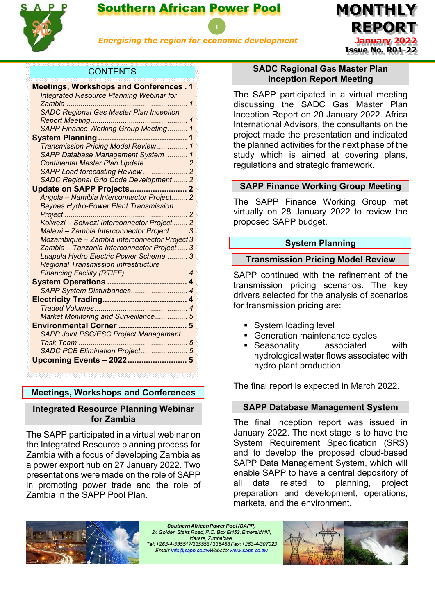

# Southern African Power Pool

*Energising the region for economic development*

**MONTHLY REPORT January 2022 Issue No. R01-22**

# **CONTENTS**

| <b>Meetings, Workshops and Conferences.1</b>    |              |
|-------------------------------------------------|--------------|
| <b>Integrated Resource Planning Webinar for</b> |              |
|                                                 | $\mathcal I$ |
| <b>SADC Regional Gas Master Plan Inception</b>  |              |
|                                                 | 1            |
| SAPP Finance Working Group Meeting 1            |              |
|                                                 |              |
| Transmission Pricing Model Review  1            |              |
| SAPP Database Management System  1              |              |
| Continental Master Plan Update  2               |              |
|                                                 |              |
| SADC Regional Grid Code Development  2          |              |
|                                                 |              |
| Angola - Namibia Interconnector Project 2       |              |
| <b>Baynes Hydro-Power Plant Transmission</b>    |              |
|                                                 |              |
| Kolwezi - Solwezi Interconnector Project 2      |              |
| Malawi - Zambia Interconnector Project 3        |              |
| Mozambique - Zambia Interconnector Project 3    |              |
| Zambia - Tanzania Interconnector Project 3      |              |
| Luapula Hydro Electric Power Scheme 3           |              |
| <b>Regional Transmission Infrastructure</b>     |              |
|                                                 |              |
|                                                 |              |
| SAPP System Disturbances 4                      |              |
|                                                 | 4            |
|                                                 |              |
| Market Monitoring and Surveillance 5            |              |
|                                                 |              |
| <b>SAPP Joint PSC/ESC Project Management</b>    |              |
|                                                 |              |
| SADC PCB Elimination Project 5                  |              |
| Upcoming Events - 2022 5                        |              |
|                                                 |              |

# <span id="page-0-0"></span>**Meetings, Workshops and Conferences**

# <span id="page-0-1"></span>**Integrated Resource Planning Webinar for Zambia**

The SAPP participated in a virtual webinar on the Integrated Resource planning process for Zambia with a focus of developing Zambia as a power export hub on 27 January 2022. Two presentations were made on the role of SAPP in promoting power trade and the role of Zambia in the SAPP Pool Plan.

# <span id="page-0-2"></span>**SADC Regional Gas Master Plan Inception Report Meeting**

The SAPP participated in a virtual meeting discussing the SADC Gas Master Plan Inception Report on 20 January 2022. Africa International Advisors, the consultants on the project made the presentation and indicated the planned activities for the next phase of the study which is aimed at covering plans, regulations and strategic framework.

# <span id="page-0-3"></span>**SAPP Finance Working Group Meeting**

The SAPP Finance Working Group met virtually on 28 January 2022 to review the proposed SAPP budget.

# **System Planning**

# <span id="page-0-5"></span><span id="page-0-4"></span>**Transmission Pricing Model Review**

SAPP continued with the refinement of the transmission pricing scenarios. The key drivers selected for the analysis of scenarios for transmission pricing are:

- System loading level
- Generation maintenance cycles
- Seasonality associated with hydrological water flows associated with hydro plant production

The final report is expected in March 2022.

# <span id="page-0-6"></span>**SAPP Database Management System**

The final inception report was issued in January 2022. The next stage is to have the System Requirement Specification (SRS) and to develop the proposed cloud-based SAPP Data Management System, which will enable SAPP to have a central depository of all data related to planning, project preparation and development, operations, markets, and the environment.



Southern African Power Pool (SAPP) 24 Golden Stairs Road, P.O. Box EH52, Emerald Hill, Harare, Zimbabwe, Tel: +263-4-335517/335558/335468 Fax: +263-4-307023 Email: info@sapp.co.zwWebsite: www.sapp.co.zw

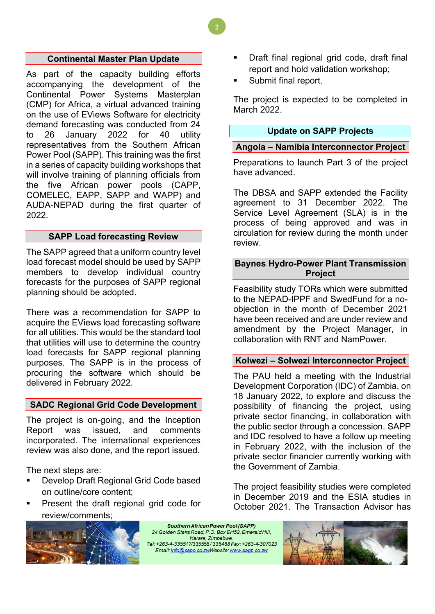### **Continental Master Plan Update**

<span id="page-1-0"></span>As part of the capacity building efforts accompanying the development of the Continental Power Systems Masterplan (CMP) for Africa, a virtual advanced training on the use of EViews Software for electricity demand forecasting was conducted from 24 to 26 January 2022 for 40 utility representatives from the Southern African Power Pool (SAPP). This training was the first in a series of capacity building workshops that will involve training of planning officials from the five African power pools (CAPP, COMELEC, EAPP, SAPP and WAPP) and AUDA-NEPAD during the first quarter of 2022.

# **SAPP Load forecasting Review**

<span id="page-1-1"></span>The SAPP agreed that a uniform country level load forecast model should be used by SAPP members to develop individual country forecasts for the purposes of SAPP regional planning should be adopted.

There was a recommendation for SAPP to acquire the EViews load forecasting software for all utilities. This would be the standard tool that utilities will use to determine the country load forecasts for SAPP regional planning purposes. The SAPP is in the process of procuring the software which should be delivered in February 2022.

# <span id="page-1-2"></span>**SADC Regional Grid Code Development**

The project is on-going, and the Inception Report was issued, and comments incorporated. The international experiences review was also done, and the report issued.

The next steps are:

- Develop Draft Regional Grid Code based on outline/core content;
- Present the draft regional grid code for review/comments;



Southern African Power Pool (SAPP) 24 Golden Stairs Road, P.O. Box EH52, Emerald Hill, Harare, Zimbabwe, Tel: +263-4-335517/335558/335468 Fax: +263-4-307023 Email: info@sapp.co.zwWebsite: www.sapp.co.zw

- Draft final regional grid code, draft final report and hold validation workshop;
- Submit final report.

The project is expected to be completed in March 2022.

#### **Update on SAPP Projects**

#### <span id="page-1-4"></span><span id="page-1-3"></span>**Angola – Namibia Interconnector Project**

Preparations to launch Part 3 of the project have advanced.

The DBSA and SAPP extended the Facility agreement to 31 December 2022. The Service Level Agreement (SLA) is in the process of being approved and was in circulation for review during the month under review.

# <span id="page-1-5"></span>**Baynes Hydro-Power Plant Transmission Project**

Feasibility study TORs which were submitted to the NEPAD-IPPF and SwedFund for a noobjection in the month of December 2021 have been received and are under review and amendment by the Project Manager, in collaboration with RNT and NamPower.

# <span id="page-1-6"></span>**Kolwezi – Solwezi Interconnector Project**

The PAU held a meeting with the Industrial Development Corporation (IDC) of Zambia, on 18 January 2022, to explore and discuss the possibility of financing the project, using private sector financing, in collaboration with the public sector through a concession. SAPP and IDC resolved to have a follow up meeting in February 2022, with the inclusion of the private sector financier currently working with the Government of Zambia.

The project feasibility studies were completed in December 2019 and the ESIA studies in October 2021. The Transaction Advisor has



**2**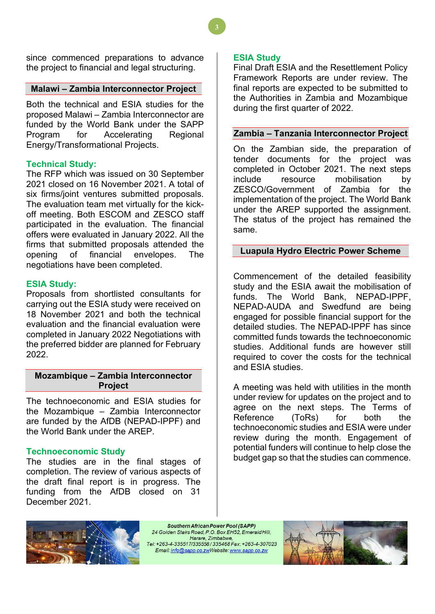since commenced preparations to advance the project to financial and legal structuring.

#### <span id="page-2-0"></span>**Malawi – Zambia Interconnector Project**

Both the technical and ESIA studies for the proposed Malawi – Zambia Interconnector are funded by the World Bank under the SAPP Program for Accelerating Regional Energy/Transformational Projects.

#### **Technical Study:**

The RFP which was issued on 30 September 2021 closed on 16 November 2021. A total of six firms/joint ventures submitted proposals. The evaluation team met virtually for the kickoff meeting. Both ESCOM and ZESCO staff participated in the evaluation. The financial offers were evaluated in January 2022. All the firms that submitted proposals attended the opening of financial envelopes. The negotiations have been completed.

# **ESIA Study:**

Proposals from shortlisted consultants for carrying out the ESIA study were received on 18 November 2021 and both the technical evaluation and the financial evaluation were completed in January 2022 Negotiations with the preferred bidder are planned for February 2022.

# <span id="page-2-1"></span>**Mozambique – Zambia Interconnector Project**

The technoeconomic and ESIA studies for the Mozambique – Zambia Interconnector are funded by the AfDB (NEPAD-IPPF) and the World Bank under the AREP.

# **Technoeconomic Study**

The studies are in the final stages of completion. The review of various aspects of the draft final report is in progress. The funding from the AfDB closed on 31 December 2021.

## **ESIA Study**

**3**

Final Draft ESIA and the Resettlement Policy Framework Reports are under review. The final reports are expected to be submitted to the Authorities in Zambia and Mozambique during the first quarter of 2022.

#### <span id="page-2-2"></span>**Zambia – Tanzania Interconnector Project**

On the Zambian side, the preparation of tender documents for the project was completed in October 2021. The next steps include resource mobilisation by ZESCO/Government of Zambia for the implementation of the project. The World Bank under the AREP supported the assignment. The status of the project has remained the same.

### <span id="page-2-3"></span>**Luapula Hydro Electric Power Scheme**

Commencement of the detailed feasibility study and the ESIA await the mobilisation of funds. The World Bank, NEPAD-IPPF, NEPAD-AUDA and Swedfund are being engaged for possible financial support for the detailed studies. The NEPAD-IPPF has since committed funds towards the technoeconomic studies. Additional funds are however still required to cover the costs for the technical and ESIA studies.

A meeting was held with utilities in the month under review for updates on the project and to agree on the next steps. The Terms of Reference (ToRs) for both the technoeconomic studies and ESIA were under review during the month. Engagement of potential funders will continue to help close the budget gap so that the studies can commence.



Southern African Power Pool (SAPP) 24 Golden Stairs Road, P.O. Box EH52, Emerald Hill, Harare, Zimbabwe, Email: info@sapp.co.zwWebsite: www.sapp.co.zw

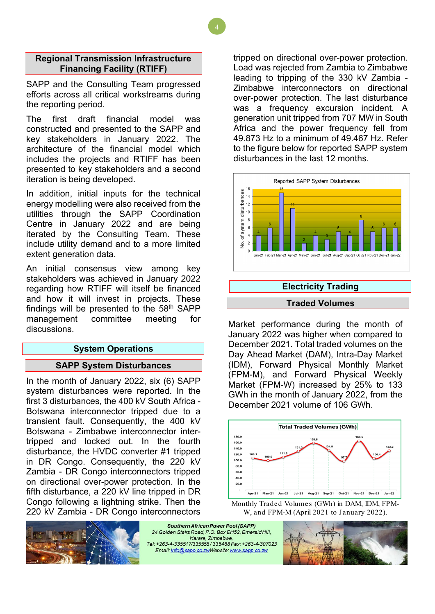### <span id="page-3-0"></span>**Regional Transmission Infrastructure Financing Facility (RTIFF)**

SAPP and the Consulting Team progressed efforts across all critical workstreams during the reporting period.

The first draft financial model was constructed and presented to the SAPP and key stakeholders in January 2022. The architecture of the financial model which includes the projects and RTIFF has been presented to key stakeholders and a second iteration is being developed.

In addition, initial inputs for the technical energy modelling were also received from the utilities through the SAPP Coordination Centre in January 2022 and are being iterated by the Consulting Team. These include utility demand and to a more limited extent generation data.

An initial consensus view among key stakeholders was achieved in January 2022 regarding how RTIFF will itself be financed and how it will invest in projects. These findings will be presented to the  $58<sup>th</sup>$  SAPP management committee meeting for discussions.

# **System Operations**

#### <span id="page-3-1"></span>**SAPP System Disturbances**

<span id="page-3-2"></span>In the month of January 2022, six (6) SAPP system disturbances were reported. In the first 3 disturbances, the 400 kV South Africa - Botswana interconnector tripped due to a transient fault. Consequently, the 400 kV Botswana - Zimbabwe interconnector intertripped and locked out. In the fourth disturbance, the HVDC converter #1 tripped in DR Congo. Consequently, the 220 kV Zambia - DR Congo interconnectors tripped on directional over-power protection. In the fifth disturbance, a 220 kV line tripped in DR Congo following a lightning strike. Then the 220 kV Zambia - DR Congo interconnectors

tripped on directional over-power protection. Load was rejected from Zambia to Zimbabwe leading to tripping of the 330 kV Zambia - Zimbabwe interconnectors on directional over-power protection. The last disturbance was a frequency excursion incident. A generation unit tripped from 707 MW in South Africa and the power frequency fell from 49.873 Hz to a minimum of 49.467 Hz. Refer to the figure below for reported SAPP system disturbances in the last 12 months.



# **Electricity Trading**

#### **Traded Volumes**

<span id="page-3-4"></span><span id="page-3-3"></span>Market performance during the month of January 2022 was higher when compared to December 2021. Total traded volumes on the Day Ahead Market (DAM), Intra-Day Market (IDM), Forward Physical Monthly Market (FPM-M), and Forward Physical Weekly Market (FPM-W) increased by 25% to 133 GWh in the month of January 2022, from the December 2021 volume of 106 GWh.



Monthly Traded Volumes (GWh) in DAM, IDM, FPM-W, and FPM-M (April 2021 to January 2022).



Southern African Power Pool (SAPP) 24 Golden Stairs Road, P.O. Box EH52, Emerald Hill, Harare, Zimbabwe, Tel: +263-4-335517/335558/335468 Fax: +263-4-307023 Email: info@sapp.co.zwWebsite: www.sapp.co.zw

**4**